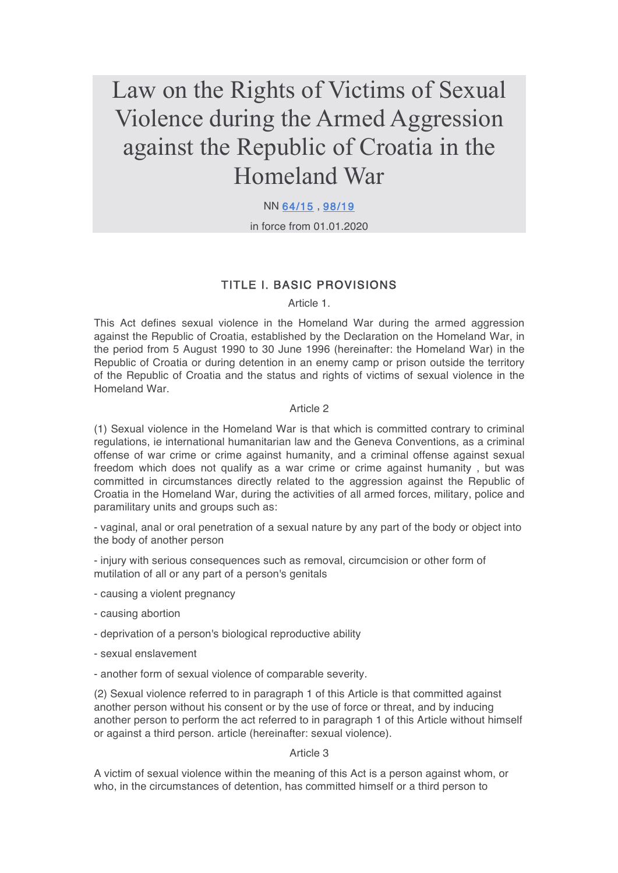# Law on the Rights of Victims of Sexual Violence during the Armed Aggression against the Republic of Croatia in the Homeland War

#### NN 64/15 , 98/19

in force from 01.01.2020

### TITLE I. BASIC PROVISIONS

Article 1.

This Act defines sexual violence in the Homeland War during the armed aggression against the Republic of Croatia, established by the Declaration on the Homeland War, in the period from 5 August 1990 to 30 June 1996 (hereinafter: the Homeland War) in the Republic of Croatia or during detention in an enemy camp or prison outside the territory of the Republic of Croatia and the status and rights of victims of sexual violence in the Homeland War.

#### Article 2

(1) Sexual violence in the Homeland War is that which is committed contrary to criminal regulations, ie international humanitarian law and the Geneva Conventions, as a criminal offense of war crime or crime against humanity, and a criminal offense against sexual freedom which does not qualify as a war crime or crime against humanity , but was committed in circumstances directly related to the aggression against the Republic of Croatia in the Homeland War, during the activities of all armed forces, military, police and paramilitary units and groups such as:

- vaginal, anal or oral penetration of a sexual nature by any part of the body or object into the body of another person

- injury with serious consequences such as removal, circumcision or other form of mutilation of all or any part of a person's genitals

- causing a violent pregnancy
- causing abortion
- deprivation of a person's biological reproductive ability
- sexual enslavement
- another form of sexual violence of comparable severity.

(2) Sexual violence referred to in paragraph 1 of this Article is that committed against another person without his consent or by the use of force or threat, and by inducing another person to perform the act referred to in paragraph 1 of this Article without himself or against a third person. article (hereinafter: sexual violence).

#### Article 3

A victim of sexual violence within the meaning of this Act is a person against whom, or who, in the circumstances of detention, has committed himself or a third person to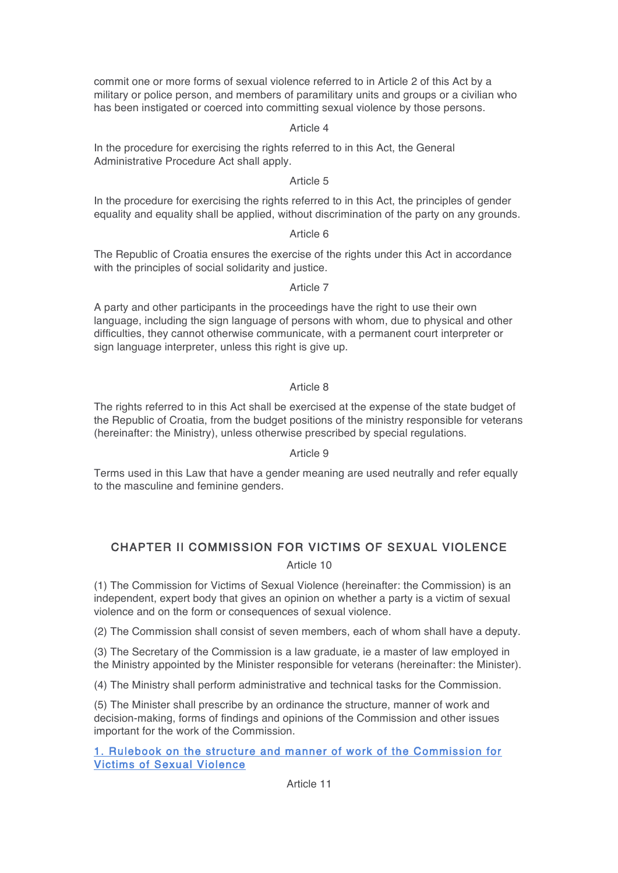commit one or more forms of sexual violence referred to in Article 2 of this Act by a military or police person, and members of paramilitary units and groups or a civilian who has been instigated or coerced into committing sexual violence by those persons.

#### Article 4

In the procedure for exercising the rights referred to in this Act, the General Administrative Procedure Act shall apply.

#### Article 5

In the procedure for exercising the rights referred to in this Act, the principles of gender equality and equality shall be applied, without discrimination of the party on any grounds.

#### Article 6

The Republic of Croatia ensures the exercise of the rights under this Act in accordance with the principles of social solidarity and justice.

#### Article 7

A party and other participants in the proceedings have the right to use their own language, including the sign language of persons with whom, due to physical and other difficulties, they cannot otherwise communicate, with a permanent court interpreter or sign language interpreter, unless this right is give up.

#### Article 8

The rights referred to in this Act shall be exercised at the expense of the state budget of the Republic of Croatia, from the budget positions of the ministry responsible for veterans (hereinafter: the Ministry), unless otherwise prescribed by special regulations.

#### Article 9

Terms used in this Law that have a gender meaning are used neutrally and refer equally to the masculine and feminine genders.

## CHAPTER II COMMISSION FOR VICTIMS OF SEXUAL VIOLENCE

#### Article 10

(1) The Commission for Victims of Sexual Violence (hereinafter: the Commission) is an independent, expert body that gives an opinion on whether a party is a victim of sexual violence and on the form or consequences of sexual violence.

(2) The Commission shall consist of seven members, each of whom shall have a deputy.

(3) The Secretary of the Commission is a law graduate, ie a master of law employed in the Ministry appointed by the Minister responsible for veterans (hereinafter: the Minister).

(4) The Ministry shall perform administrative and technical tasks for the Commission.

(5) The Minister shall prescribe by an ordinance the structure, manner of work and decision-making, forms of findings and opinions of the Commission and other issues important for the work of the Commission.

#### 1. Rulebook on the structure and manner of work of the Commission for Victims of Sexual Violence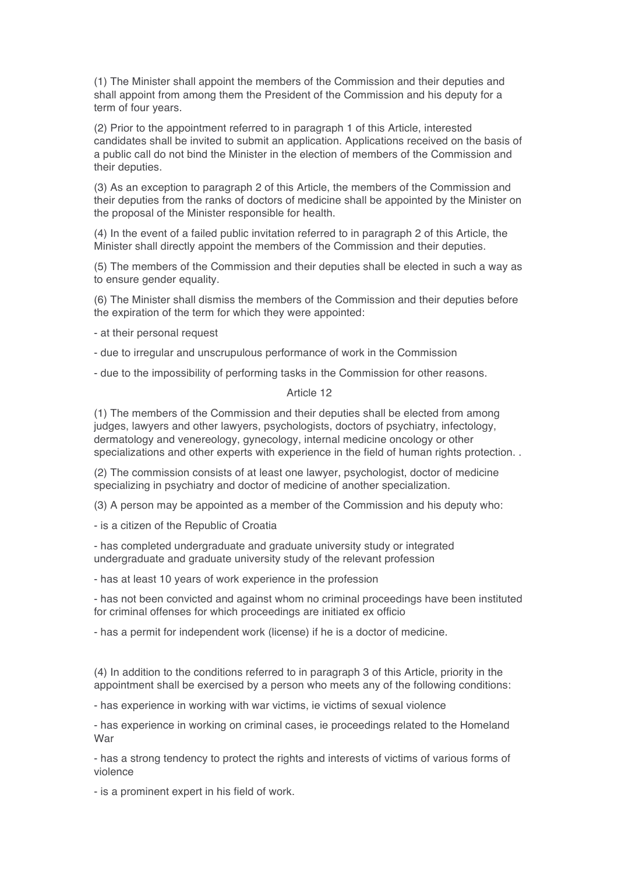(1) The Minister shall appoint the members of the Commission and their deputies and shall appoint from among them the President of the Commission and his deputy for a term of four years.

(2) Prior to the appointment referred to in paragraph 1 of this Article, interested candidates shall be invited to submit an application. Applications received on the basis of a public call do not bind the Minister in the election of members of the Commission and their deputies.

(3) As an exception to paragraph 2 of this Article, the members of the Commission and their deputies from the ranks of doctors of medicine shall be appointed by the Minister on the proposal of the Minister responsible for health.

(4) In the event of a failed public invitation referred to in paragraph 2 of this Article, the Minister shall directly appoint the members of the Commission and their deputies.

(5) The members of the Commission and their deputies shall be elected in such a way as to ensure gender equality.

(6) The Minister shall dismiss the members of the Commission and their deputies before the expiration of the term for which they were appointed:

- at their personal request

- due to irregular and unscrupulous performance of work in the Commission

- due to the impossibility of performing tasks in the Commission for other reasons.

#### Article 12

(1) The members of the Commission and their deputies shall be elected from among judges, lawyers and other lawyers, psychologists, doctors of psychiatry, infectology, dermatology and venereology, gynecology, internal medicine oncology or other specializations and other experts with experience in the field of human rights protection. .

(2) The commission consists of at least one lawyer, psychologist, doctor of medicine specializing in psychiatry and doctor of medicine of another specialization.

(3) A person may be appointed as a member of the Commission and his deputy who:

- is a citizen of the Republic of Croatia

- has completed undergraduate and graduate university study or integrated undergraduate and graduate university study of the relevant profession

- has at least 10 years of work experience in the profession

- has not been convicted and against whom no criminal proceedings have been instituted for criminal offenses for which proceedings are initiated ex officio

- has a permit for independent work (license) if he is a doctor of medicine.

(4) In addition to the conditions referred to in paragraph 3 of this Article, priority in the appointment shall be exercised by a person who meets any of the following conditions:

- has experience in working with war victims, ie victims of sexual violence

- has experience in working on criminal cases, ie proceedings related to the Homeland War

- has a strong tendency to protect the rights and interests of victims of various forms of violence

- is a prominent expert in his field of work.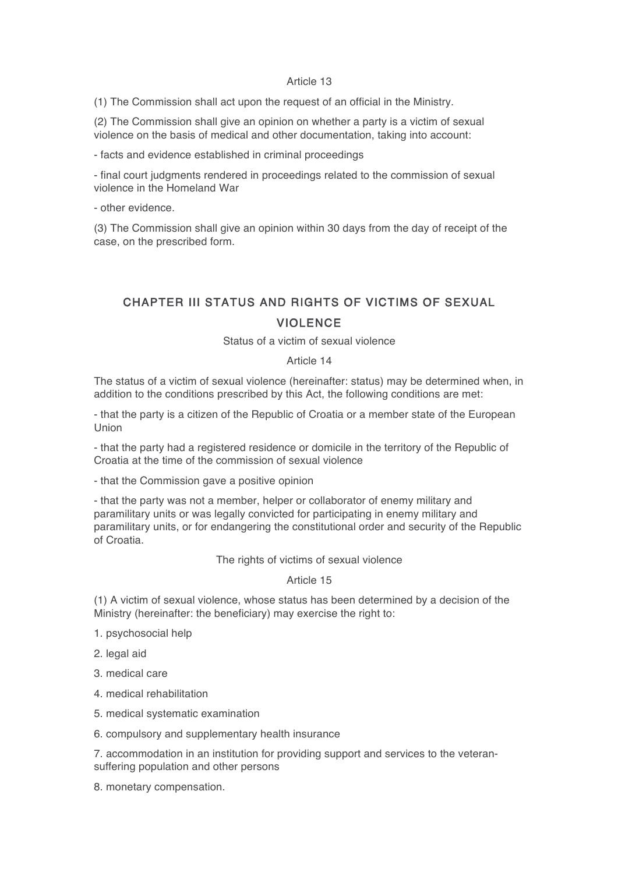#### Article 13

(1) The Commission shall act upon the request of an official in the Ministry.

(2) The Commission shall give an opinion on whether a party is a victim of sexual violence on the basis of medical and other documentation, taking into account:

- facts and evidence established in criminal proceedings

- final court judgments rendered in proceedings related to the commission of sexual violence in the Homeland War

- other evidence.

(3) The Commission shall give an opinion within 30 days from the day of receipt of the case, on the prescribed form.

# CHAPTER III STATUS AND RIGHTS OF VICTIMS OF SEXUAL VIOLENCE

Status of a victim of sexual violence

#### Article 14

The status of a victim of sexual violence (hereinafter: status) may be determined when, in addition to the conditions prescribed by this Act, the following conditions are met:

- that the party is a citizen of the Republic of Croatia or a member state of the European Union

- that the party had a registered residence or domicile in the territory of the Republic of Croatia at the time of the commission of sexual violence

- that the Commission gave a positive opinion

- that the party was not a member, helper or collaborator of enemy military and paramilitary units or was legally convicted for participating in enemy military and paramilitary units, or for endangering the constitutional order and security of the Republic of Croatia.

The rights of victims of sexual violence

#### Article 15

(1) A victim of sexual violence, whose status has been determined by a decision of the Ministry (hereinafter: the beneficiary) may exercise the right to:

1. psychosocial help

2. legal aid

3. medical care

4. medical rehabilitation

5. medical systematic examination

6. compulsory and supplementary health insurance

7. accommodation in an institution for providing support and services to the veteransuffering population and other persons

8. monetary compensation.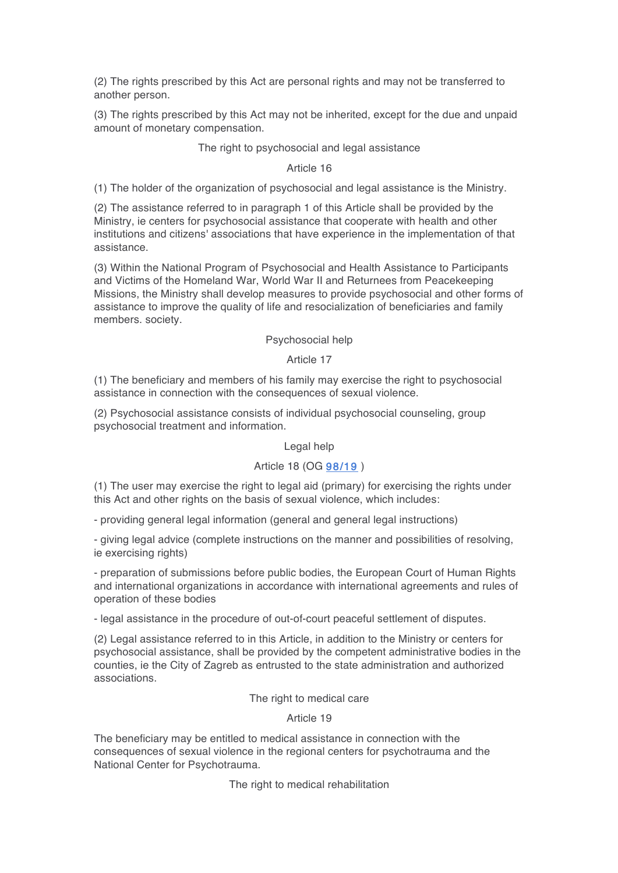(2) The rights prescribed by this Act are personal rights and may not be transferred to another person.

(3) The rights prescribed by this Act may not be inherited, except for the due and unpaid amount of monetary compensation.

#### The right to psychosocial and legal assistance

#### Article 16

(1) The holder of the organization of psychosocial and legal assistance is the Ministry.

(2) The assistance referred to in paragraph 1 of this Article shall be provided by the Ministry, ie centers for psychosocial assistance that cooperate with health and other institutions and citizens' associations that have experience in the implementation of that assistance.

(3) Within the National Program of Psychosocial and Health Assistance to Participants and Victims of the Homeland War, World War II and Returnees from Peacekeeping Missions, the Ministry shall develop measures to provide psychosocial and other forms of assistance to improve the quality of life and resocialization of beneficiaries and family members. society.

#### Psychosocial help

#### Article 17

(1) The beneficiary and members of his family may exercise the right to psychosocial assistance in connection with the consequences of sexual violence.

(2) Psychosocial assistance consists of individual psychosocial counseling, group psychosocial treatment and information.

#### Legal help

#### Article 18 (OG 98/19 )

(1) The user may exercise the right to legal aid (primary) for exercising the rights under this Act and other rights on the basis of sexual violence, which includes:

- providing general legal information (general and general legal instructions)

- giving legal advice (complete instructions on the manner and possibilities of resolving, ie exercising rights)

- preparation of submissions before public bodies, the European Court of Human Rights and international organizations in accordance with international agreements and rules of operation of these bodies

- legal assistance in the procedure of out-of-court peaceful settlement of disputes.

(2) Legal assistance referred to in this Article, in addition to the Ministry or centers for psychosocial assistance, shall be provided by the competent administrative bodies in the counties, ie the City of Zagreb as entrusted to the state administration and authorized associations.

The right to medical care

Article 19

The beneficiary may be entitled to medical assistance in connection with the consequences of sexual violence in the regional centers for psychotrauma and the National Center for Psychotrauma.

The right to medical rehabilitation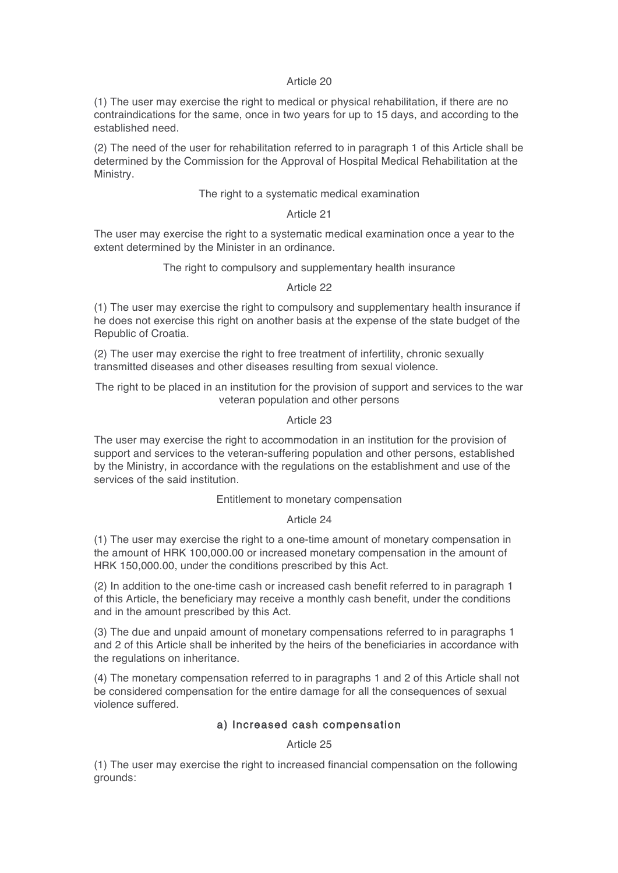#### Article 20

(1) The user may exercise the right to medical or physical rehabilitation, if there are no contraindications for the same, once in two years for up to 15 days, and according to the established need.

(2) The need of the user for rehabilitation referred to in paragraph 1 of this Article shall be determined by the Commission for the Approval of Hospital Medical Rehabilitation at the Ministry.

#### The right to a systematic medical examination

#### Article 21

The user may exercise the right to a systematic medical examination once a year to the extent determined by the Minister in an ordinance.

#### The right to compulsory and supplementary health insurance

#### Article 22

(1) The user may exercise the right to compulsory and supplementary health insurance if he does not exercise this right on another basis at the expense of the state budget of the Republic of Croatia.

(2) The user may exercise the right to free treatment of infertility, chronic sexually transmitted diseases and other diseases resulting from sexual violence.

The right to be placed in an institution for the provision of support and services to the war veteran population and other persons

#### Article 23

The user may exercise the right to accommodation in an institution for the provision of support and services to the veteran-suffering population and other persons, established by the Ministry, in accordance with the regulations on the establishment and use of the services of the said institution.

#### Entitlement to monetary compensation

#### Article 24

(1) The user may exercise the right to a one-time amount of monetary compensation in the amount of HRK 100,000.00 or increased monetary compensation in the amount of HRK 150,000.00, under the conditions prescribed by this Act.

(2) In addition to the one-time cash or increased cash benefit referred to in paragraph 1 of this Article, the beneficiary may receive a monthly cash benefit, under the conditions and in the amount prescribed by this Act.

(3) The due and unpaid amount of monetary compensations referred to in paragraphs 1 and 2 of this Article shall be inherited by the heirs of the beneficiaries in accordance with the regulations on inheritance.

(4) The monetary compensation referred to in paragraphs 1 and 2 of this Article shall not be considered compensation for the entire damage for all the consequences of sexual violence suffered.

#### a) Increased cash compensation

Article 25

(1) The user may exercise the right to increased financial compensation on the following grounds: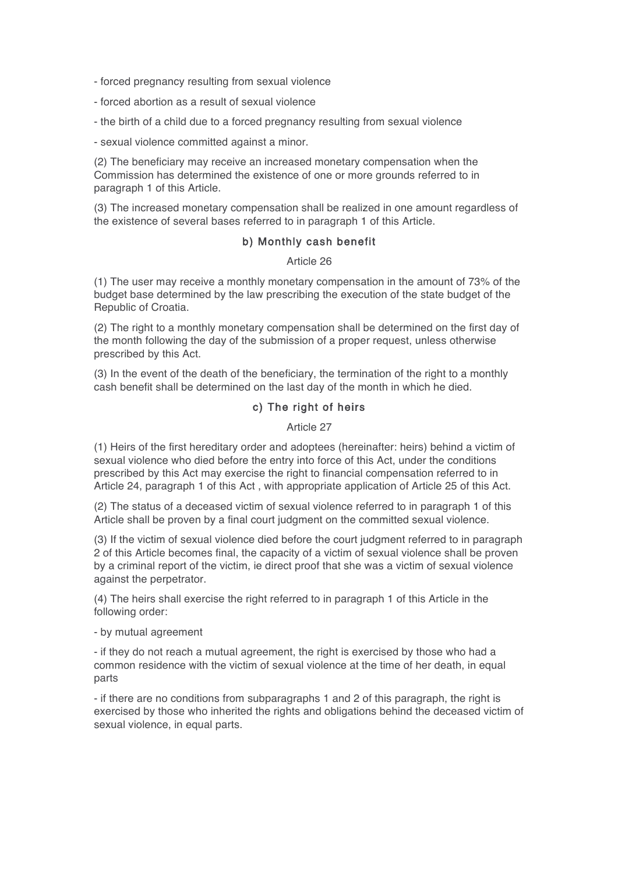- forced pregnancy resulting from sexual violence

- forced abortion as a result of sexual violence

- the birth of a child due to a forced pregnancy resulting from sexual violence

- sexual violence committed against a minor.

(2) The beneficiary may receive an increased monetary compensation when the Commission has determined the existence of one or more grounds referred to in paragraph 1 of this Article.

(3) The increased monetary compensation shall be realized in one amount regardless of the existence of several bases referred to in paragraph 1 of this Article.

#### b) Monthly cash benefit

Article 26

(1) The user may receive a monthly monetary compensation in the amount of 73% of the budget base determined by the law prescribing the execution of the state budget of the Republic of Croatia.

(2) The right to a monthly monetary compensation shall be determined on the first day of the month following the day of the submission of a proper request, unless otherwise prescribed by this Act.

(3) In the event of the death of the beneficiary, the termination of the right to a monthly cash benefit shall be determined on the last day of the month in which he died.

#### c) The right of heirs

Article 27

(1) Heirs of the first hereditary order and adoptees (hereinafter: heirs) behind a victim of sexual violence who died before the entry into force of this Act, under the conditions prescribed by this Act may exercise the right to financial compensation referred to in Article 24, paragraph 1 of this Act , with appropriate application of Article 25 of this Act.

(2) The status of a deceased victim of sexual violence referred to in paragraph 1 of this Article shall be proven by a final court judgment on the committed sexual violence.

(3) If the victim of sexual violence died before the court judgment referred to in paragraph 2 of this Article becomes final, the capacity of a victim of sexual violence shall be proven by a criminal report of the victim, ie direct proof that she was a victim of sexual violence against the perpetrator.

(4) The heirs shall exercise the right referred to in paragraph 1 of this Article in the following order:

- by mutual agreement

- if they do not reach a mutual agreement, the right is exercised by those who had a common residence with the victim of sexual violence at the time of her death, in equal parts

- if there are no conditions from subparagraphs 1 and 2 of this paragraph, the right is exercised by those who inherited the rights and obligations behind the deceased victim of sexual violence, in equal parts.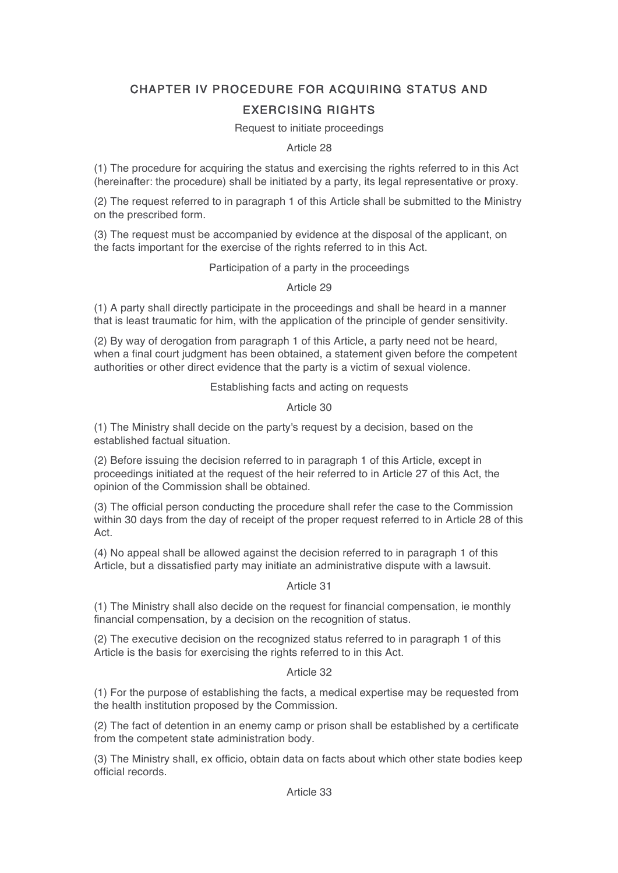# CHAPTER IV PROCEDURE FOR ACQUIRING STATUS AND EXERCISING RIGHTS

#### Request to initiate proceedings

#### Article 28

(1) The procedure for acquiring the status and exercising the rights referred to in this Act (hereinafter: the procedure) shall be initiated by a party, its legal representative or proxy.

(2) The request referred to in paragraph 1 of this Article shall be submitted to the Ministry on the prescribed form.

(3) The request must be accompanied by evidence at the disposal of the applicant, on the facts important for the exercise of the rights referred to in this Act.

#### Participation of a party in the proceedings

Article 29

(1) A party shall directly participate in the proceedings and shall be heard in a manner that is least traumatic for him, with the application of the principle of gender sensitivity.

(2) By way of derogation from paragraph 1 of this Article, a party need not be heard, when a final court judgment has been obtained, a statement given before the competent authorities or other direct evidence that the party is a victim of sexual violence.

Establishing facts and acting on requests

#### Article 30

(1) The Ministry shall decide on the party's request by a decision, based on the established factual situation.

(2) Before issuing the decision referred to in paragraph 1 of this Article, except in proceedings initiated at the request of the heir referred to in Article 27 of this Act, the opinion of the Commission shall be obtained.

(3) The official person conducting the procedure shall refer the case to the Commission within 30 days from the day of receipt of the proper request referred to in Article 28 of this Act.

(4) No appeal shall be allowed against the decision referred to in paragraph 1 of this Article, but a dissatisfied party may initiate an administrative dispute with a lawsuit.

#### Article 31

(1) The Ministry shall also decide on the request for financial compensation, ie monthly financial compensation, by a decision on the recognition of status.

(2) The executive decision on the recognized status referred to in paragraph 1 of this Article is the basis for exercising the rights referred to in this Act.

#### Article 32

(1) For the purpose of establishing the facts, a medical expertise may be requested from the health institution proposed by the Commission.

(2) The fact of detention in an enemy camp or prison shall be established by a certificate from the competent state administration body.

(3) The Ministry shall, ex officio, obtain data on facts about which other state bodies keep official records.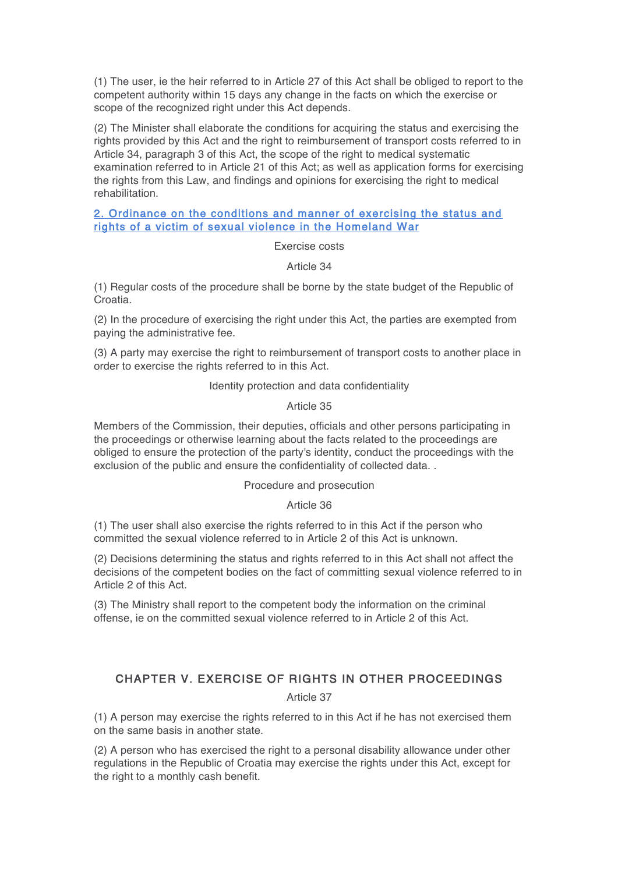(1) The user, ie the heir referred to in Article 27 of this Act shall be obliged to report to the competent authority within 15 days any change in the facts on which the exercise or scope of the recognized right under this Act depends.

(2) The Minister shall elaborate the conditions for acquiring the status and exercising the rights provided by this Act and the right to reimbursement of transport costs referred to in Article 34, paragraph 3 of this Act, the scope of the right to medical systematic examination referred to in Article 21 of this Act; as well as application forms for exercising the rights from this Law, and findings and opinions for exercising the right to medical rehabilitation.

#### 2. Ordinance on the conditions and manner of exercising the status and rights of a victim of sexual violence in the Homeland War

Exercise costs

Article 34

(1) Regular costs of the procedure shall be borne by the state budget of the Republic of Croatia.

(2) In the procedure of exercising the right under this Act, the parties are exempted from paying the administrative fee.

(3) A party may exercise the right to reimbursement of transport costs to another place in order to exercise the rights referred to in this Act.

#### Identity protection and data confidentiality

#### Article 35

Members of the Commission, their deputies, officials and other persons participating in the proceedings or otherwise learning about the facts related to the proceedings are obliged to ensure the protection of the party's identity, conduct the proceedings with the exclusion of the public and ensure the confidentiality of collected data. .

#### Procedure and prosecution

#### Article 36

(1) The user shall also exercise the rights referred to in this Act if the person who committed the sexual violence referred to in Article 2 of this Act is unknown.

(2) Decisions determining the status and rights referred to in this Act shall not affect the decisions of the competent bodies on the fact of committing sexual violence referred to in Article 2 of this Act.

(3) The Ministry shall report to the competent body the information on the criminal offense, ie on the committed sexual violence referred to in Article 2 of this Act.

# CHAPTER V. EXERCISE OF RIGHTS IN OTHER PROCEEDINGS

Article 37

(1) A person may exercise the rights referred to in this Act if he has not exercised them on the same basis in another state.

(2) A person who has exercised the right to a personal disability allowance under other regulations in the Republic of Croatia may exercise the rights under this Act, except for the right to a monthly cash benefit.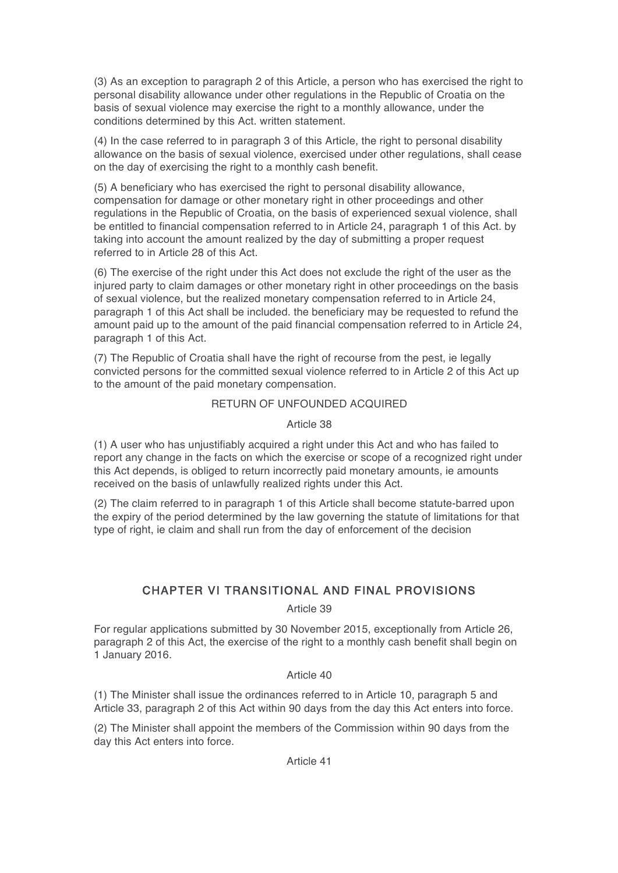(3) As an exception to paragraph 2 of this Article, a person who has exercised the right to personal disability allowance under other regulations in the Republic of Croatia on the basis of sexual violence may exercise the right to a monthly allowance, under the conditions determined by this Act. written statement.

(4) In the case referred to in paragraph 3 of this Article, the right to personal disability allowance on the basis of sexual violence, exercised under other regulations, shall cease on the day of exercising the right to a monthly cash benefit.

(5) A beneficiary who has exercised the right to personal disability allowance, compensation for damage or other monetary right in other proceedings and other regulations in the Republic of Croatia, on the basis of experienced sexual violence, shall be entitled to financial compensation referred to in Article 24, paragraph 1 of this Act. by taking into account the amount realized by the day of submitting a proper request referred to in Article 28 of this Act.

(6) The exercise of the right under this Act does not exclude the right of the user as the injured party to claim damages or other monetary right in other proceedings on the basis of sexual violence, but the realized monetary compensation referred to in Article 24, paragraph 1 of this Act shall be included. the beneficiary may be requested to refund the amount paid up to the amount of the paid financial compensation referred to in Article 24, paragraph 1 of this Act.

(7) The Republic of Croatia shall have the right of recourse from the pest, ie legally convicted persons for the committed sexual violence referred to in Article 2 of this Act up to the amount of the paid monetary compensation.

#### RETURN OF UNFOUNDED ACQUIRED

#### Article 38

(1) A user who has unjustifiably acquired a right under this Act and who has failed to report any change in the facts on which the exercise or scope of a recognized right under this Act depends, is obliged to return incorrectly paid monetary amounts, ie amounts received on the basis of unlawfully realized rights under this Act.

(2) The claim referred to in paragraph 1 of this Article shall become statute-barred upon the expiry of the period determined by the law governing the statute of limitations for that type of right, ie claim and shall run from the day of enforcement of the decision

## CHAPTER VI TRANSITIONAL AND FINAL PROVISIONS

#### Article 39

For regular applications submitted by 30 November 2015, exceptionally from Article 26, paragraph 2 of this Act, the exercise of the right to a monthly cash benefit shall begin on 1 January 2016.

#### Article 40

(1) The Minister shall issue the ordinances referred to in Article 10, paragraph 5 and Article 33, paragraph 2 of this Act within 90 days from the day this Act enters into force.

(2) The Minister shall appoint the members of the Commission within 90 days from the day this Act enters into force.